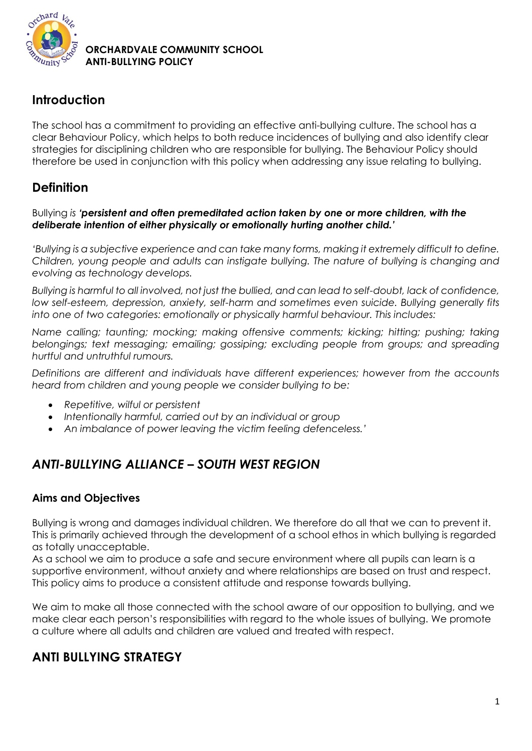

## **Introduction**

The school has a commitment to providing an effective anti-bullying culture. The school has a clear Behaviour Policy, which helps to both reduce incidences of bullying and also identify clear strategies for disciplining children who are responsible for bullying. The Behaviour Policy should therefore be used in conjunction with this policy when addressing any issue relating to bullying.

## **Definition**

#### Bullying *is 'persistent and often premeditated action taken by one or more children, with the deliberate intention of either physically or emotionally hurting another child.'*

*'Bullying is a subjective experience and can take many forms, making it extremely difficult to define. Children, young people and adults can instigate bullying. The nature of bullying is changing and evolving as technology develops.*

*Bullying is harmful to all involved, not just the bullied, and can lead to self-doubt, lack of confidence, low self-esteem, depression, anxiety, self-harm and sometimes even suicide. Bullying generally fits into one of two categories: emotionally or physically harmful behaviour. This includes:*

*Name calling; taunting; mocking; making offensive comments; kicking; hitting; pushing; taking belongings; text messaging; emailing; gossiping; excluding people from groups; and spreading hurtful and untruthful rumours.*

*Definitions are different and individuals have different experiences; however from the accounts heard from children and young people we consider bullying to be:*

- *Repetitive, wilful or persistent*
- *Intentionally harmful, carried out by an individual or group*
- *An imbalance of power leaving the victim feeling defenceless.'*

## *ANTI-BULLYING ALLIANCE – SOUTH WEST REGION*

## **Aims and Objectives**

Bullying is wrong and damages individual children. We therefore do all that we can to prevent it. This is primarily achieved through the development of a school ethos in which bullying is regarded as totally unacceptable.

As a school we aim to produce a safe and secure environment where all pupils can learn is a supportive environment, without anxiety and where relationships are based on trust and respect. This policy aims to produce a consistent attitude and response towards bullying.

We aim to make all those connected with the school aware of our opposition to bullying, and we make clear each person's responsibilities with regard to the whole issues of bullying. We promote a culture where all adults and children are valued and treated with respect.

## **ANTI BULLYING STRATEGY**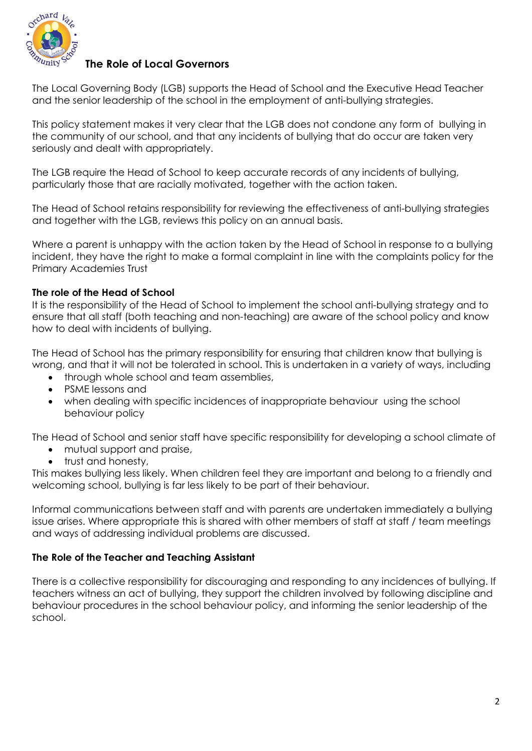

#### **The Role of Local Governors**

The Local Governing Body (LGB) supports the Head of School and the Executive Head Teacher and the senior leadership of the school in the employment of anti-bullying strategies.

This policy statement makes it very clear that the LGB does not condone any form of bullying in the community of our school, and that any incidents of bullying that do occur are taken very seriously and dealt with appropriately.

The LGB require the Head of School to keep accurate records of any incidents of bullying, particularly those that are racially motivated, together with the action taken.

The Head of School retains responsibility for reviewing the effectiveness of anti-bullying strategies and together with the LGB, reviews this policy on an annual basis.

Where a parent is unhappy with the action taken by the Head of School in response to a bullying incident, they have the right to make a formal complaint in line with the complaints policy for the Primary Academies Trust

#### **The role of the Head of School**

It is the responsibility of the Head of School to implement the school anti-bullying strategy and to ensure that all staff (both teaching and non-teaching) are aware of the school policy and know how to deal with incidents of bullying.

The Head of School has the primary responsibility for ensuring that children know that bullying is wrong, and that it will not be tolerated in school. This is undertaken in a variety of ways, including

- through whole school and team assemblies,
- PSME lessons and
- when dealing with specific incidences of inappropriate behaviour using the school behaviour policy

The Head of School and senior staff have specific responsibility for developing a school climate of

- mutual support and praise,
- trust and honesty,

This makes bullying less likely. When children feel they are important and belong to a friendly and welcoming school, bullying is far less likely to be part of their behaviour.

Informal communications between staff and with parents are undertaken immediately a bullying issue arises. Where appropriate this is shared with other members of staff at staff / team meetings and ways of addressing individual problems are discussed.

#### **The Role of the Teacher and Teaching Assistant**

There is a collective responsibility for discouraging and responding to any incidences of bullying. If teachers witness an act of bullying, they support the children involved by following discipline and behaviour procedures in the school behaviour policy, and informing the senior leadership of the school.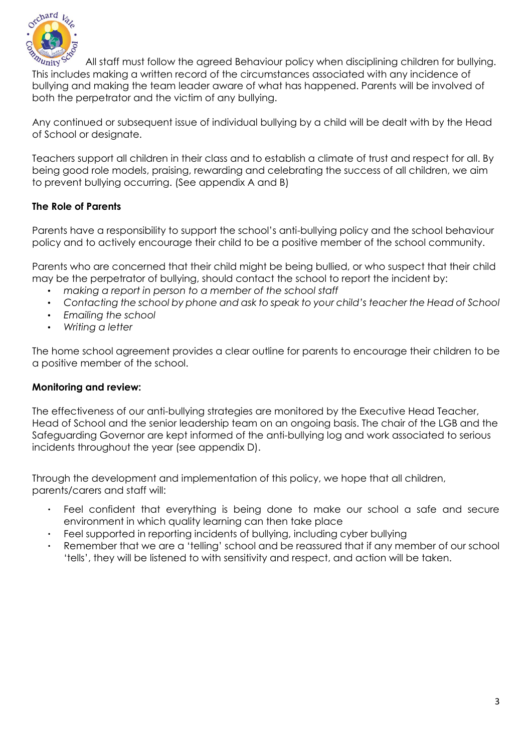

All staff must follow the agreed Behaviour policy when disciplining children for bullying. This includes making a written record of the circumstances associated with any incidence of bullying and making the team leader aware of what has happened. Parents will be involved of both the perpetrator and the victim of any bullying.

Any continued or subsequent issue of individual bullying by a child will be dealt with by the Head of School or designate.

Teachers support all children in their class and to establish a climate of trust and respect for all. By being good role models, praising, rewarding and celebrating the success of all children, we aim to prevent bullying occurring. (See appendix A and B)

#### **The Role of Parents**

Parents have a responsibility to support the school's anti-bullying policy and the school behaviour policy and to actively encourage their child to be a positive member of the school community.

Parents who are concerned that their child might be being bullied, or who suspect that their child may be the perpetrator of bullying, should contact the school to report the incident by:

- *making a report in person to a member of the school staff*
- *Contacting the school by phone and ask to speak to your child's teacher the Head of School*
- *Emailing the school*
- *Writing a letter*

The home school agreement provides a clear outline for parents to encourage their children to be a positive member of the school.

#### **Monitoring and review:**

The effectiveness of our anti-bullying strategies are monitored by the Executive Head Teacher, Head of School and the senior leadership team on an ongoing basis. The chair of the LGB and the Safeguarding Governor are kept informed of the anti-bullying log and work associated to serious incidents throughout the year (see appendix D).

Through the development and implementation of this policy, we hope that all children, parents/carers and staff will:

- Feel confident that everything is being done to make our school a safe and secure environment in which quality learning can then take place
- Feel supported in reporting incidents of bullying, including cyber bullying
- Remember that we are a 'telling' school and be reassured that if any member of our school 'tells', they will be listened to with sensitivity and respect, and action will be taken.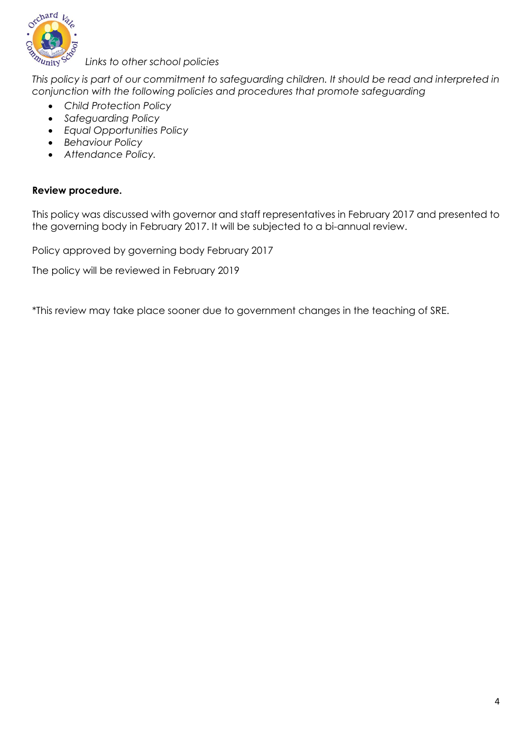

*Links to other school policies*

*This policy is part of our commitment to safeguarding children. It should be read and interpreted in conjunction with the following policies and procedures that promote safeguarding*

- *Child Protection Policy*
- *Safeguarding Policy*
- *Equal Opportunities Policy*
- *Behaviour Policy*
- *Attendance Policy.*

#### **Review procedure.**

This policy was discussed with governor and staff representatives in February 2017 and presented to the governing body in February 2017. It will be subjected to a bi-annual review.

Policy approved by governing body February 2017

The policy will be reviewed in February 2019

\*This review may take place sooner due to government changes in the teaching of SRE.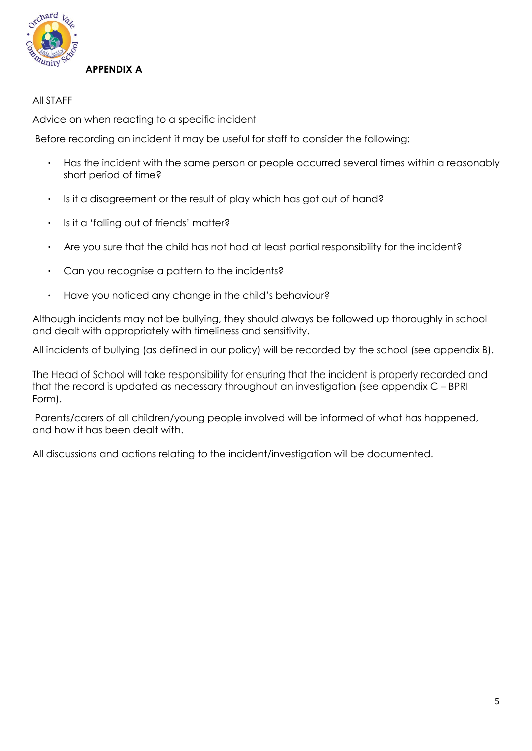

#### All STAFF

Advice on when reacting to a specific incident

Before recording an incident it may be useful for staff to consider the following:

- Has the incident with the same person or people occurred several times within a reasonably short period of time?
- Is it a disagreement or the result of play which has got out of hand?
- Is it a 'falling out of friends' matter?
- Are you sure that the child has not had at least partial responsibility for the incident?
- Can you recognise a pattern to the incidents?
- Have you noticed any change in the child's behaviour?

Although incidents may not be bullying, they should always be followed up thoroughly in school and dealt with appropriately with timeliness and sensitivity.

All incidents of bullying (as defined in our policy) will be recorded by the school (see appendix B).

The Head of School will take responsibility for ensuring that the incident is properly recorded and that the record is updated as necessary throughout an investigation (see appendix C – BPRI Form).

Parents/carers of all children/young people involved will be informed of what has happened, and how it has been dealt with.

All discussions and actions relating to the incident/investigation will be documented.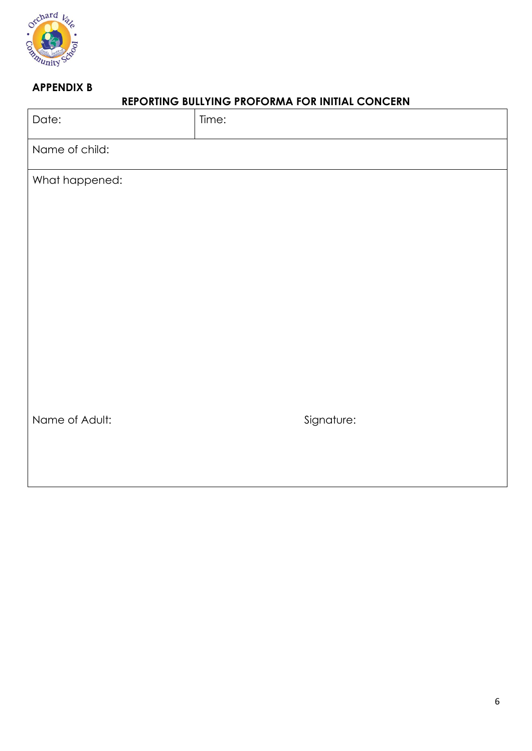

## **APPENDIX B**

## **REPORTING BULLYING PROFORMA FOR INITIAL CONCERN**

| Date:          | Time:      |
|----------------|------------|
| Name of child: |            |
| What happened: |            |
|                |            |
|                |            |
|                |            |
|                |            |
|                |            |
|                |            |
|                |            |
| Name of Adult: | Signature: |
|                |            |
|                |            |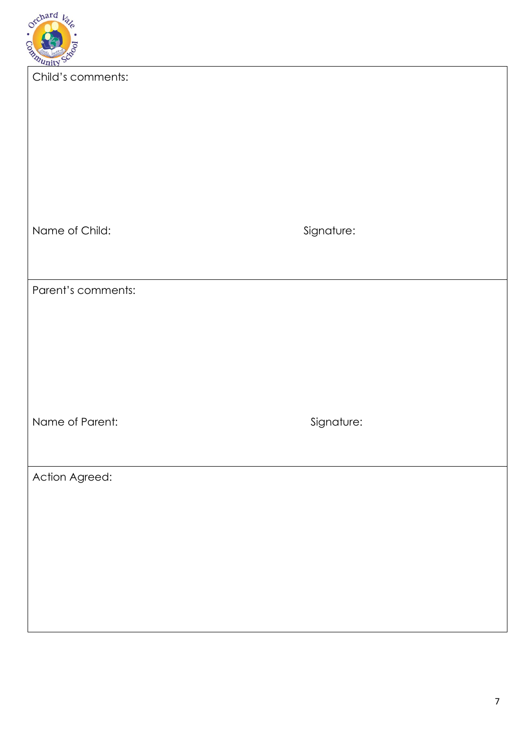

| <b><i>Qunity</i></b> |            |
|----------------------|------------|
| Child's comments:    |            |
| Name of Child:       | Signature: |
| Parent's comments:   |            |
| Name of Parent:      | Signature: |
| Action Agreed:       |            |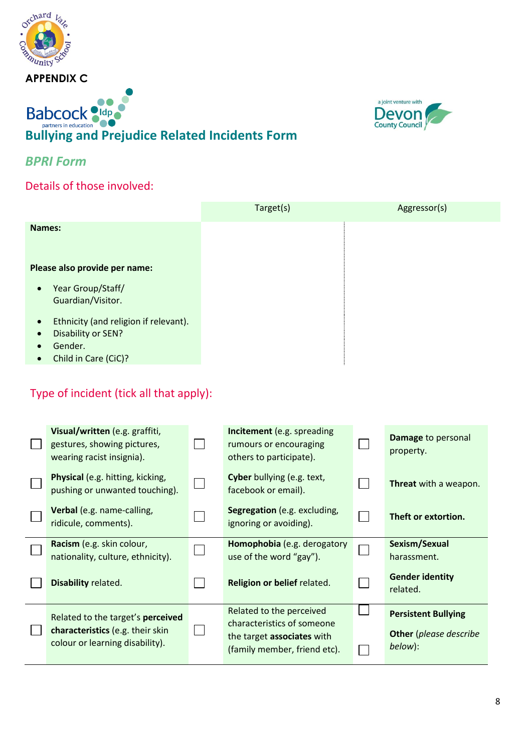

# **Babcock Oldperfillers**<br>Bullying and Prejudice Related Incidents Form



## *BPRI Form*

**APPENDIX C**

Details of those involved:

|                                                                                                                                       | Target(s) | Aggressor(s) |
|---------------------------------------------------------------------------------------------------------------------------------------|-----------|--------------|
| Names:                                                                                                                                |           |              |
| Please also provide per name:                                                                                                         |           |              |
| Year Group/Staff/<br>$\bullet$<br>Guardian/Visitor.                                                                                   |           |              |
| Ethnicity (and religion if relevant).<br>$\bullet$<br>Disability or SEN?<br>$\bullet$<br>Gender.<br>Child in Care (CiC)?<br>$\bullet$ |           |              |

## Type of incident (tick all that apply):

| Visual/written (e.g. graffiti,<br>gestures, showing pictures,<br>wearing racist insignia).               | <b>Incitement</b> (e.g. spreading<br>rumours or encouraging<br>others to participate).                               |   | Damage to personal<br>property.                                        |
|----------------------------------------------------------------------------------------------------------|----------------------------------------------------------------------------------------------------------------------|---|------------------------------------------------------------------------|
| <b>Physical</b> (e.g. hitting, kicking,<br>pushing or unwanted touching).                                | Cyber bullying (e.g. text,<br>facebook or email).                                                                    |   | <b>Threat</b> with a weapon.                                           |
| Verbal (e.g. name-calling,<br>ridicule, comments).                                                       | Segregation (e.g. excluding,<br>ignoring or avoiding).                                                               |   | Theft or extortion.                                                    |
| Racism (e.g. skin colour,<br>nationality, culture, ethnicity).                                           | Homophobia (e.g. derogatory<br>use of the word "gay").                                                               | Г | Sexism/Sexual<br>harassment.                                           |
| Disability related.                                                                                      | Religion or belief related.                                                                                          |   | <b>Gender identity</b><br>related.                                     |
| Related to the target's perceived<br>characteristics (e.g. their skin<br>colour or learning disability). | Related to the perceived<br>characteristics of someone<br>the target associates with<br>(family member, friend etc). |   | <b>Persistent Bullying</b><br><b>Other</b> (please describe<br>below): |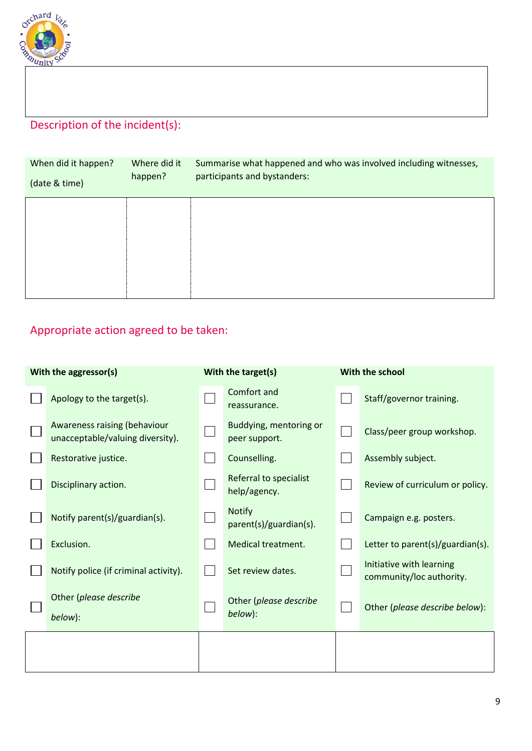

# Description of the incident(s):

| When did it happen?<br>(date & time) | Where did it<br>happen? | Summarise what happened and who was involved including witnesses,<br>participants and bystanders: |
|--------------------------------------|-------------------------|---------------------------------------------------------------------------------------------------|
|                                      |                         |                                                                                                   |
|                                      |                         |                                                                                                   |

# Appropriate action agreed to be taken:

| With the aggressor(s) |                                                                  | With the target(s) |                                         | With the school |                                                      |
|-----------------------|------------------------------------------------------------------|--------------------|-----------------------------------------|-----------------|------------------------------------------------------|
|                       | Apology to the target(s).                                        |                    | Comfort and<br>reassurance.             |                 | Staff/governor training.                             |
|                       | Awareness raising (behaviour<br>unacceptable/valuing diversity). |                    | Buddying, mentoring or<br>peer support. |                 | Class/peer group workshop.                           |
|                       | Restorative justice.                                             |                    | Counselling.                            |                 | Assembly subject.                                    |
|                       | Disciplinary action.                                             |                    | Referral to specialist<br>help/agency.  |                 | Review of curriculum or policy.                      |
|                       | Notify parent(s)/guardian(s).                                    |                    | <b>Notify</b><br>parent(s)/guardian(s). |                 | Campaign e.g. posters.                               |
|                       | Exclusion.                                                       |                    | Medical treatment.                      |                 | Letter to parent(s)/guardian(s).                     |
|                       | Notify police (if criminal activity).                            |                    | Set review dates.                       |                 | Initiative with learning<br>community/loc authority. |
|                       | Other (please describe<br>below):                                |                    | Other (please describe<br>below):       |                 | Other (please describe below):                       |
|                       |                                                                  |                    |                                         |                 |                                                      |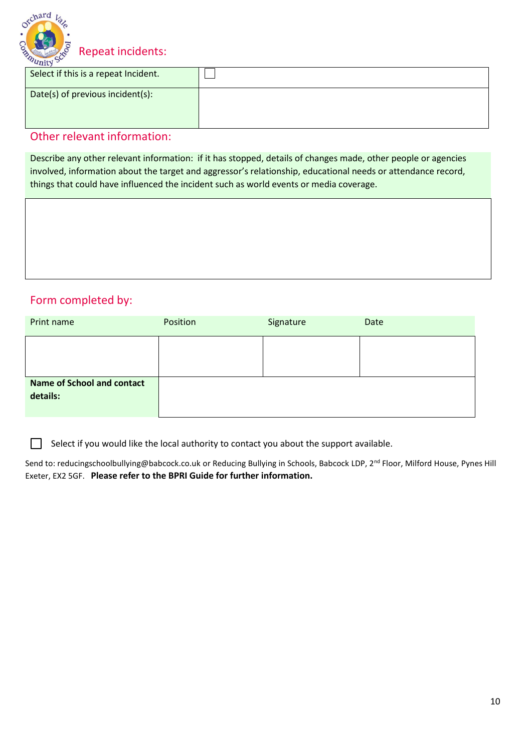

Repeat incidents:

| $-1110$<br>Select if this is a repeat Incident. |  |
|-------------------------------------------------|--|
| Date(s) of previous incident(s):                |  |

## Other relevant information:

Describe any other relevant information: if it has stopped, details of changes made, other people or agencies involved, information about the target and aggressor's relationship, educational needs or attendance record, things that could have influenced the incident such as world events or media coverage.

## Form completed by:

Г

| Print name                                    | Position | Signature | Date |
|-----------------------------------------------|----------|-----------|------|
|                                               |          |           |      |
| <b>Name of School and contact</b><br>details: |          |           |      |

Select if you would like the local authority to contact you about the support available.  $\overline{\phantom{a}}$ 

Send to: [reducingschoolbullying@babcock.co.uk](mailto:reducingschoolbullying@babcock.co.uk) or Reducing Bullying in Schools, Babcock LDP, 2<sup>nd</sup> Floor, Milford House, Pynes Hill Exeter, EX2 5GF. **Please refer to the BPRI Guide for further information.**